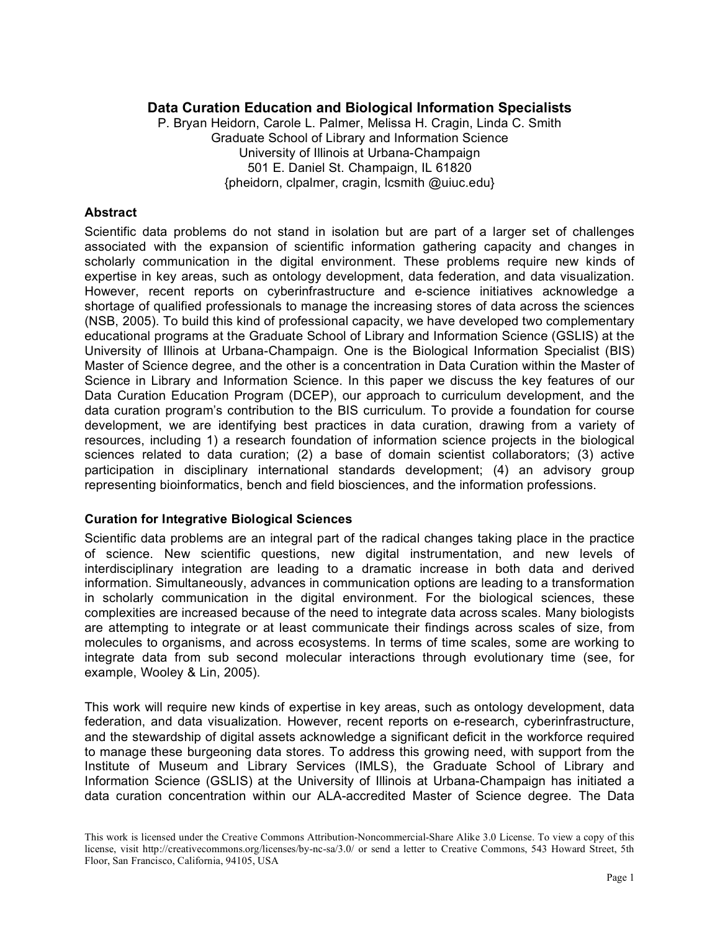# **Data Curation Education and Biological Information Specialists**

P. Bryan Heidorn, Carole L. Palmer, Melissa H. Cragin, Linda C. Smith Graduate School of Library and Information Science University of Illinois at Urbana-Champaign 501 E. Daniel St. Champaign, IL 61820 {pheidorn, clpalmer, cragin, lcsmith @uiuc.edu}

## **Abstract**

Scientific data problems do not stand in isolation but are part of a larger set of challenges associated with the expansion of scientific information gathering capacity and changes in scholarly communication in the digital environment. These problems require new kinds of expertise in key areas, such as ontology development, data federation, and data visualization. However, recent reports on cyberinfrastructure and e-science initiatives acknowledge a shortage of qualified professionals to manage the increasing stores of data across the sciences (NSB, 2005). To build this kind of professional capacity, we have developed two complementary educational programs at the Graduate School of Library and Information Science (GSLIS) at the University of Illinois at Urbana-Champaign. One is the Biological Information Specialist (BIS) Master of Science degree, and the other is a concentration in Data Curation within the Master of Science in Library and Information Science. In this paper we discuss the key features of our Data Curation Education Program (DCEP), our approach to curriculum development, and the data curation program's contribution to the BIS curriculum. To provide a foundation for course development, we are identifying best practices in data curation, drawing from a variety of resources, including 1) a research foundation of information science projects in the biological sciences related to data curation; (2) a base of domain scientist collaborators; (3) active participation in disciplinary international standards development; (4) an advisory group representing bioinformatics, bench and field biosciences, and the information professions.

## **Curation for Integrative Biological Sciences**

Scientific data problems are an integral part of the radical changes taking place in the practice of science. New scientific questions, new digital instrumentation, and new levels of interdisciplinary integration are leading to a dramatic increase in both data and derived information. Simultaneously, advances in communication options are leading to a transformation in scholarly communication in the digital environment. For the biological sciences, these complexities are increased because of the need to integrate data across scales. Many biologists are attempting to integrate or at least communicate their findings across scales of size, from molecules to organisms, and across ecosystems. In terms of time scales, some are working to integrate data from sub second molecular interactions through evolutionary time (see, for example, Wooley & Lin, 2005).

This work will require new kinds of expertise in key areas, such as ontology development, data federation, and data visualization. However, recent reports on e-research, cyberinfrastructure, and the stewardship of digital assets acknowledge a significant deficit in the workforce required to manage these burgeoning data stores. To address this growing need, with support from the Institute of Museum and Library Services (IMLS), the Graduate School of Library and Information Science (GSLIS) at the University of Illinois at Urbana-Champaign has initiated a data curation concentration within our ALA-accredited Master of Science degree. The Data

This work is licensed under the Creative Commons Attribution-Noncommercial-Share Alike 3.0 License. To view a copy of this license, visit http://creativecommons.org/licenses/by-nc-sa/3.0/ or send a letter to Creative Commons, 543 Howard Street, 5th Floor, San Francisco, California, 94105, USA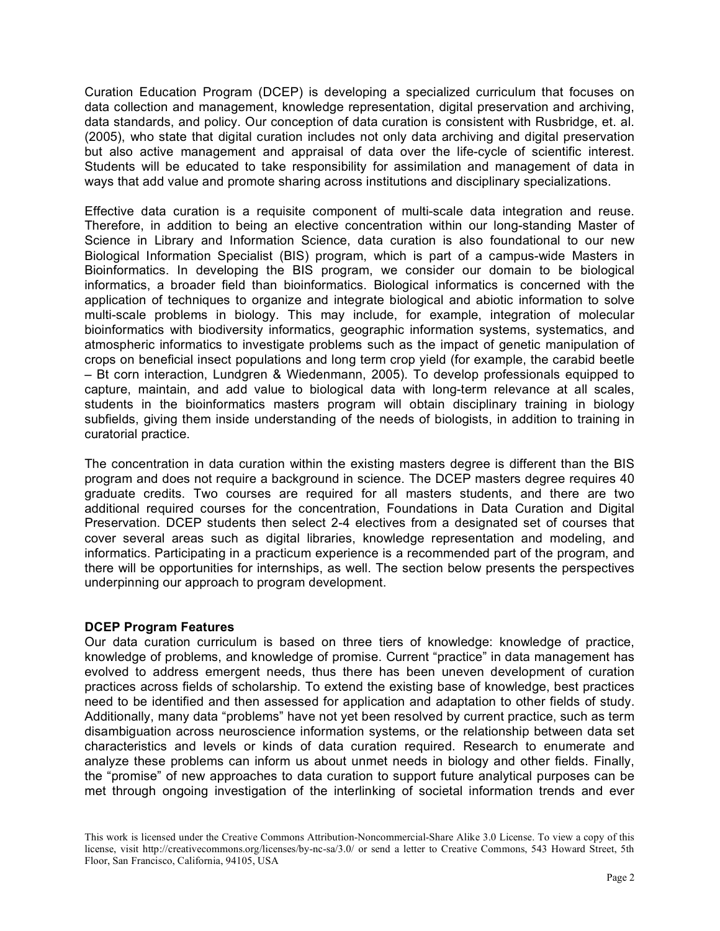Curation Education Program (DCEP) is developing a specialized curriculum that focuses on data collection and management, knowledge representation, digital preservation and archiving, data standards, and policy. Our conception of data curation is consistent with Rusbridge, et. al. (2005), who state that digital curation includes not only data archiving and digital preservation but also active management and appraisal of data over the life-cycle of scientific interest. Students will be educated to take responsibility for assimilation and management of data in ways that add value and promote sharing across institutions and disciplinary specializations.

Effective data curation is a requisite component of multi-scale data integration and reuse. Therefore, in addition to being an elective concentration within our long-standing Master of Science in Library and Information Science, data curation is also foundational to our new Biological Information Specialist (BIS) program, which is part of a campus-wide Masters in Bioinformatics. In developing the BIS program, we consider our domain to be biological informatics, a broader field than bioinformatics. Biological informatics is concerned with the application of techniques to organize and integrate biological and abiotic information to solve multi-scale problems in biology. This may include, for example, integration of molecular bioinformatics with biodiversity informatics, geographic information systems, systematics, and atmospheric informatics to investigate problems such as the impact of genetic manipulation of crops on beneficial insect populations and long term crop yield (for example, the carabid beetle – Bt corn interaction, Lundgren & Wiedenmann, 2005). To develop professionals equipped to capture, maintain, and add value to biological data with long-term relevance at all scales, students in the bioinformatics masters program will obtain disciplinary training in biology subfields, giving them inside understanding of the needs of biologists, in addition to training in curatorial practice.

The concentration in data curation within the existing masters degree is different than the BIS program and does not require a background in science. The DCEP masters degree requires 40 graduate credits. Two courses are required for all masters students, and there are two additional required courses for the concentration, Foundations in Data Curation and Digital Preservation. DCEP students then select 2-4 electives from a designated set of courses that cover several areas such as digital libraries, knowledge representation and modeling, and informatics. Participating in a practicum experience is a recommended part of the program, and there will be opportunities for internships, as well. The section below presents the perspectives underpinning our approach to program development.

## **DCEP Program Features**

Our data curation curriculum is based on three tiers of knowledge: knowledge of practice, knowledge of problems, and knowledge of promise. Current "practice" in data management has evolved to address emergent needs, thus there has been uneven development of curation practices across fields of scholarship. To extend the existing base of knowledge, best practices need to be identified and then assessed for application and adaptation to other fields of study. Additionally, many data "problems" have not yet been resolved by current practice, such as term disambiguation across neuroscience information systems, or the relationship between data set characteristics and levels or kinds of data curation required. Research to enumerate and analyze these problems can inform us about unmet needs in biology and other fields. Finally, the "promise" of new approaches to data curation to support future analytical purposes can be met through ongoing investigation of the interlinking of societal information trends and ever

This work is licensed under the Creative Commons Attribution-Noncommercial-Share Alike 3.0 License. To view a copy of this license, visit http://creativecommons.org/licenses/by-nc-sa/3.0/ or send a letter to Creative Commons, 543 Howard Street, 5th Floor, San Francisco, California, 94105, USA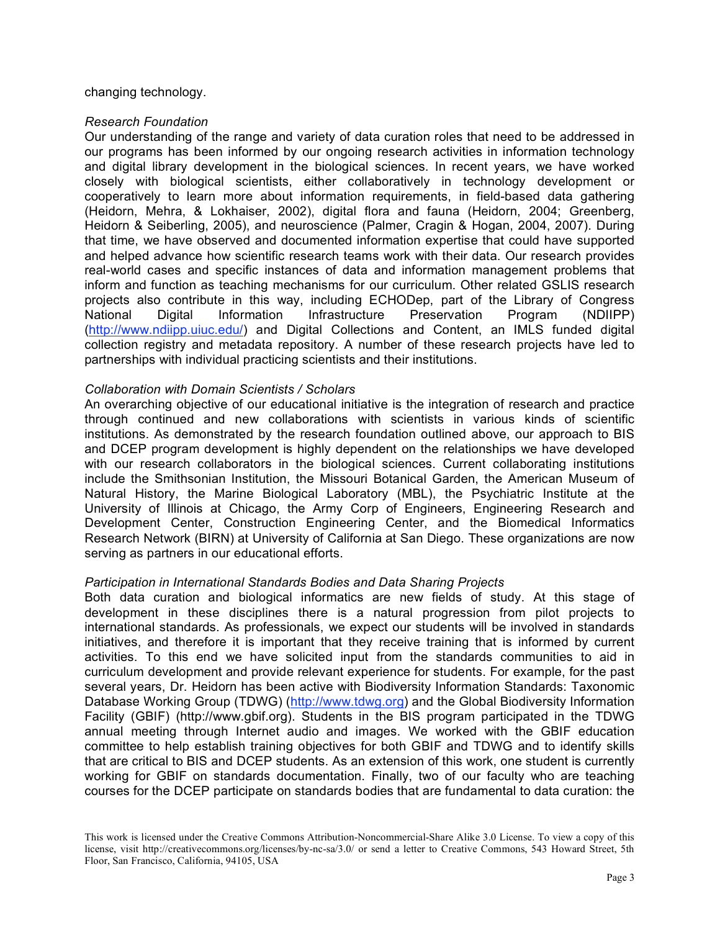## changing technology.

#### *Research Foundation*

Our understanding of the range and variety of data curation roles that need to be addressed in our programs has been informed by our ongoing research activities in information technology and digital library development in the biological sciences. In recent years, we have worked closely with biological scientists, either collaboratively in technology development or cooperatively to learn more about information requirements, in field-based data gathering (Heidorn, Mehra, & Lokhaiser, 2002), digital flora and fauna (Heidorn, 2004; Greenberg, Heidorn & Seiberling, 2005), and neuroscience (Palmer, Cragin & Hogan, 2004, 2007). During that time, we have observed and documented information expertise that could have supported and helped advance how scientific research teams work with their data. Our research provides real-world cases and specific instances of data and information management problems that inform and function as teaching mechanisms for our curriculum. Other related GSLIS research projects also contribute in this way, including ECHODep, part of the Library of Congress National Digital Information Infrastructure Preservation Program (NDIIPP) (http://www.ndiipp.uiuc.edu/) and Digital Collections and Content, an IMLS funded digital collection registry and metadata repository. A number of these research projects have led to partnerships with individual practicing scientists and their institutions.

## *Collaboration with Domain Scientists / Scholars*

An overarching objective of our educational initiative is the integration of research and practice through continued and new collaborations with scientists in various kinds of scientific institutions. As demonstrated by the research foundation outlined above, our approach to BIS and DCEP program development is highly dependent on the relationships we have developed with our research collaborators in the biological sciences. Current collaborating institutions include the Smithsonian Institution, the Missouri Botanical Garden, the American Museum of Natural History, the Marine Biological Laboratory (MBL), the Psychiatric Institute at the University of Illinois at Chicago, the Army Corp of Engineers, Engineering Research and Development Center, Construction Engineering Center, and the Biomedical Informatics Research Network (BIRN) at University of California at San Diego. These organizations are now serving as partners in our educational efforts.

#### *Participation in International Standards Bodies and Data Sharing Projects*

Both data curation and biological informatics are new fields of study. At this stage of development in these disciplines there is a natural progression from pilot projects to international standards. As professionals, we expect our students will be involved in standards initiatives, and therefore it is important that they receive training that is informed by current activities. To this end we have solicited input from the standards communities to aid in curriculum development and provide relevant experience for students. For example, for the past several years, Dr. Heidorn has been active with Biodiversity Information Standards: Taxonomic Database Working Group (TDWG) (http://www.tdwg.org) and the Global Biodiversity Information Facility (GBIF) (http://www.gbif.org). Students in the BIS program participated in the TDWG annual meeting through Internet audio and images. We worked with the GBIF education committee to help establish training objectives for both GBIF and TDWG and to identify skills that are critical to BIS and DCEP students. As an extension of this work, one student is currently working for GBIF on standards documentation. Finally, two of our faculty who are teaching courses for the DCEP participate on standards bodies that are fundamental to data curation: the

This work is licensed under the Creative Commons Attribution-Noncommercial-Share Alike 3.0 License. To view a copy of this license, visit http://creativecommons.org/licenses/by-nc-sa/3.0/ or send a letter to Creative Commons, 543 Howard Street, 5th Floor, San Francisco, California, 94105, USA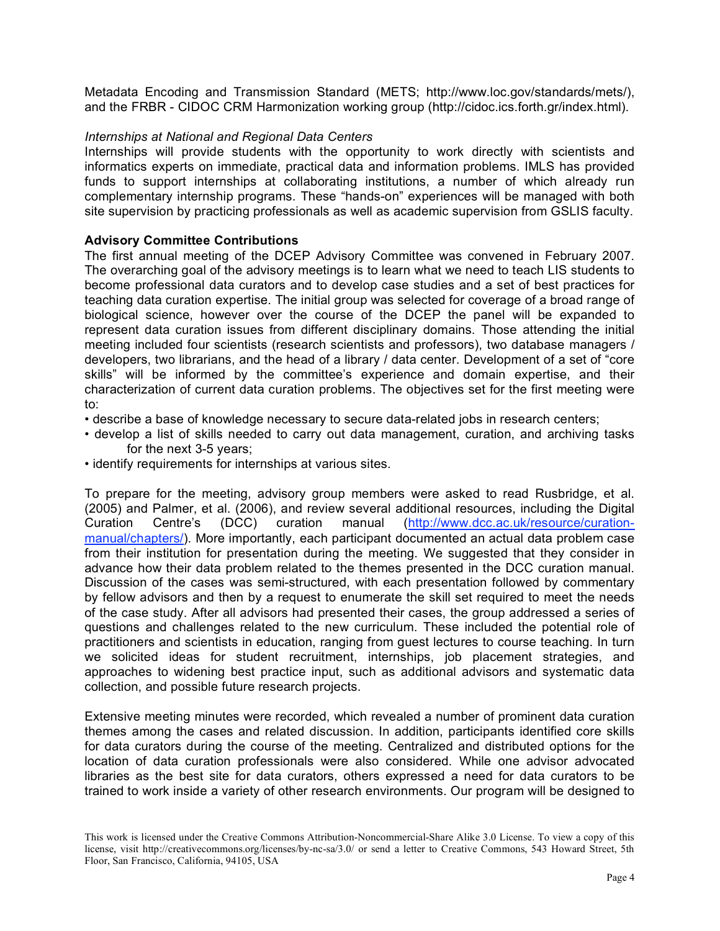Metadata Encoding and Transmission Standard (METS; http://www.loc.gov/standards/mets/), and the FRBR - CIDOC CRM Harmonization working group (http://cidoc.ics.forth.gr/index.html).

## *Internships at National and Regional Data Centers*

Internships will provide students with the opportunity to work directly with scientists and informatics experts on immediate, practical data and information problems. IMLS has provided funds to support internships at collaborating institutions, a number of which already run complementary internship programs. These "hands-on" experiences will be managed with both site supervision by practicing professionals as well as academic supervision from GSLIS faculty.

## **Advisory Committee Contributions**

The first annual meeting of the DCEP Advisory Committee was convened in February 2007. The overarching goal of the advisory meetings is to learn what we need to teach LIS students to become professional data curators and to develop case studies and a set of best practices for teaching data curation expertise. The initial group was selected for coverage of a broad range of biological science, however over the course of the DCEP the panel will be expanded to represent data curation issues from different disciplinary domains. Those attending the initial meeting included four scientists (research scientists and professors), two database managers / developers, two librarians, and the head of a library / data center. Development of a set of "core skills" will be informed by the committee's experience and domain expertise, and their characterization of current data curation problems. The objectives set for the first meeting were to:

- describe a base of knowledge necessary to secure data-related jobs in research centers;
- develop a list of skills needed to carry out data management, curation, and archiving tasks for the next 3-5 years;
- identify requirements for internships at various sites.

To prepare for the meeting, advisory group members were asked to read Rusbridge, et al. (2005) and Palmer, et al. (2006), and review several additional resources, including the Digital Curation Centre's (DCC) curation manual (http://www.dcc.ac.uk/resource/curationmanual/chapters/). More importantly, each participant documented an actual data problem case from their institution for presentation during the meeting. We suggested that they consider in advance how their data problem related to the themes presented in the DCC curation manual. Discussion of the cases was semi-structured, with each presentation followed by commentary by fellow advisors and then by a request to enumerate the skill set required to meet the needs of the case study. After all advisors had presented their cases, the group addressed a series of questions and challenges related to the new curriculum. These included the potential role of practitioners and scientists in education, ranging from guest lectures to course teaching. In turn we solicited ideas for student recruitment, internships, job placement strategies, and approaches to widening best practice input, such as additional advisors and systematic data collection, and possible future research projects.

Extensive meeting minutes were recorded, which revealed a number of prominent data curation themes among the cases and related discussion. In addition, participants identified core skills for data curators during the course of the meeting. Centralized and distributed options for the location of data curation professionals were also considered. While one advisor advocated libraries as the best site for data curators, others expressed a need for data curators to be trained to work inside a variety of other research environments. Our program will be designed to

This work is licensed under the Creative Commons Attribution-Noncommercial-Share Alike 3.0 License. To view a copy of this license, visit http://creativecommons.org/licenses/by-nc-sa/3.0/ or send a letter to Creative Commons, 543 Howard Street, 5th Floor, San Francisco, California, 94105, USA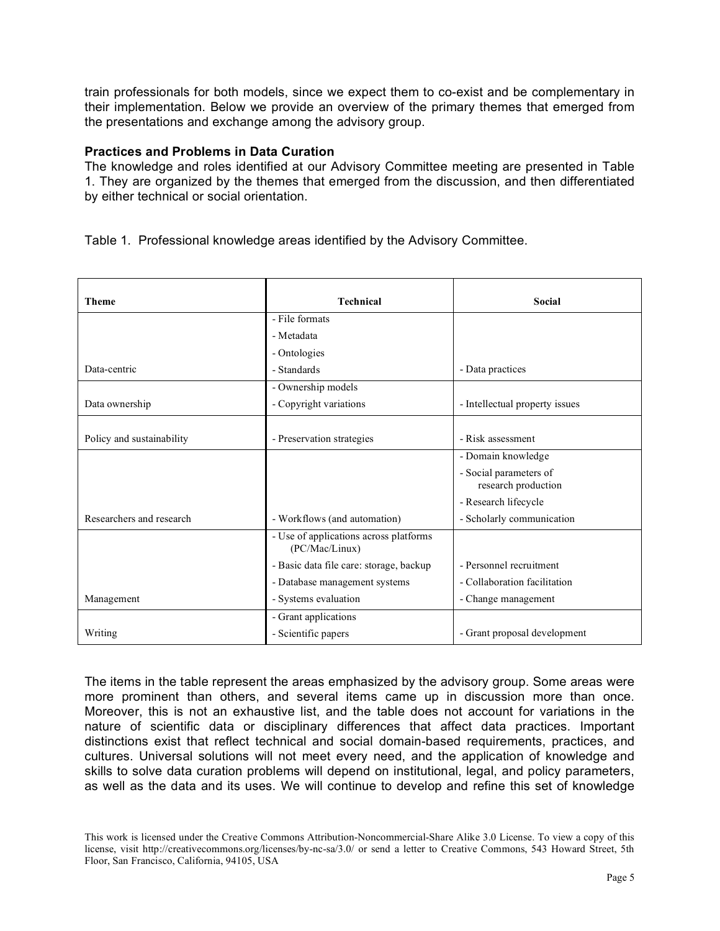train professionals for both models, since we expect them to co-exist and be complementary in their implementation. Below we provide an overview of the primary themes that emerged from the presentations and exchange among the advisory group.

## **Practices and Problems in Data Curation**

The knowledge and roles identified at our Advisory Committee meeting are presented in Table 1. They are organized by the themes that emerged from the discussion, and then differentiated by either technical or social orientation.

|  | Table 1. Professional knowledge areas identified by the Advisory Committee. |  |  |  |
|--|-----------------------------------------------------------------------------|--|--|--|
|--|-----------------------------------------------------------------------------|--|--|--|

| <b>Theme</b>              | <b>Technical</b>                                         | <b>Social</b>                                 |  |
|---------------------------|----------------------------------------------------------|-----------------------------------------------|--|
|                           | - File formats                                           |                                               |  |
|                           | - Metadata                                               |                                               |  |
|                           | - Ontologies                                             |                                               |  |
| Data-centric              | - Standards                                              | - Data practices                              |  |
|                           | - Ownership models                                       |                                               |  |
| Data ownership            | - Copyright variations                                   | - Intellectual property issues                |  |
|                           |                                                          |                                               |  |
| Policy and sustainability | - Preservation strategies                                | - Risk assessment                             |  |
|                           |                                                          | - Domain knowledge                            |  |
|                           |                                                          | - Social parameters of<br>research production |  |
|                           |                                                          | - Research lifecycle                          |  |
| Researchers and research  | - Workflows (and automation)                             | - Scholarly communication                     |  |
|                           | - Use of applications across platforms<br>(PC/Mac/Linux) |                                               |  |
|                           | - Basic data file care: storage, backup                  | - Personnel recruitment                       |  |
|                           | - Database management systems                            | - Collaboration facilitation                  |  |
| Management                | - Systems evaluation                                     | - Change management                           |  |
|                           | - Grant applications                                     |                                               |  |
| Writing                   | - Scientific papers                                      | - Grant proposal development                  |  |

The items in the table represent the areas emphasized by the advisory group. Some areas were more prominent than others, and several items came up in discussion more than once. Moreover, this is not an exhaustive list, and the table does not account for variations in the nature of scientific data or disciplinary differences that affect data practices. Important distinctions exist that reflect technical and social domain-based requirements, practices, and cultures. Universal solutions will not meet every need, and the application of knowledge and skills to solve data curation problems will depend on institutional, legal, and policy parameters, as well as the data and its uses. We will continue to develop and refine this set of knowledge

This work is licensed under the Creative Commons Attribution-Noncommercial-Share Alike 3.0 License. To view a copy of this license, visit http://creativecommons.org/licenses/by-nc-sa/3.0/ or send a letter to Creative Commons, 543 Howard Street, 5th Floor, San Francisco, California, 94105, USA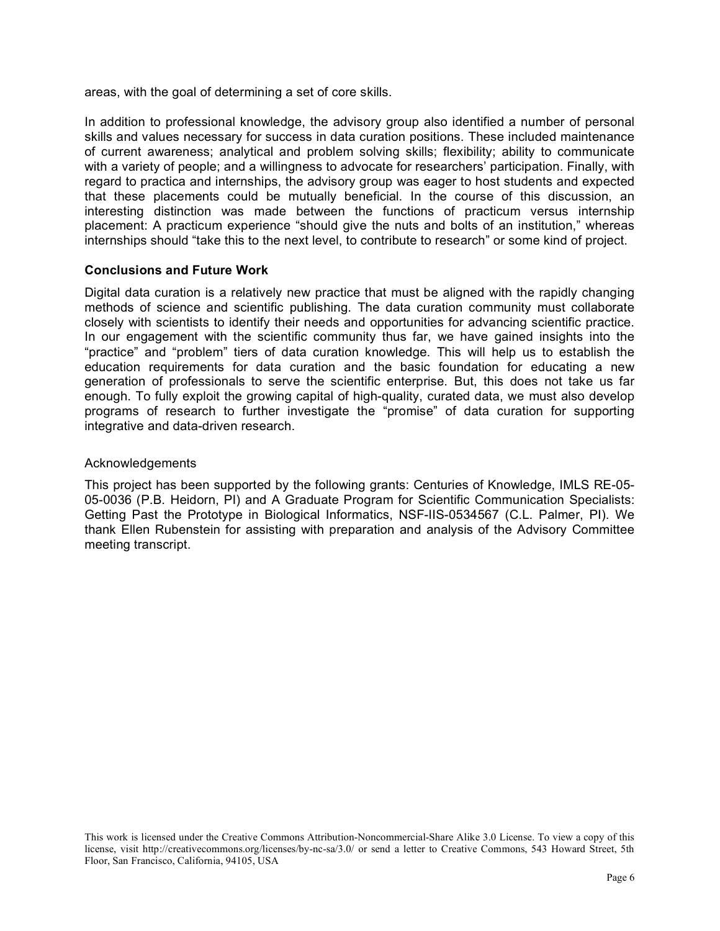areas, with the goal of determining a set of core skills.

In addition to professional knowledge, the advisory group also identified a number of personal skills and values necessary for success in data curation positions. These included maintenance of current awareness; analytical and problem solving skills; flexibility; ability to communicate with a variety of people; and a willingness to advocate for researchers' participation. Finally, with regard to practica and internships, the advisory group was eager to host students and expected that these placements could be mutually beneficial. In the course of this discussion, an interesting distinction was made between the functions of practicum versus internship placement: A practicum experience "should give the nuts and bolts of an institution," whereas internships should "take this to the next level, to contribute to research" or some kind of project.

## **Conclusions and Future Work**

Digital data curation is a relatively new practice that must be aligned with the rapidly changing methods of science and scientific publishing. The data curation community must collaborate closely with scientists to identify their needs and opportunities for advancing scientific practice. In our engagement with the scientific community thus far, we have gained insights into the "practice" and "problem" tiers of data curation knowledge. This will help us to establish the education requirements for data curation and the basic foundation for educating a new generation of professionals to serve the scientific enterprise. But, this does not take us far enough. To fully exploit the growing capital of high-quality, curated data, we must also develop programs of research to further investigate the "promise" of data curation for supporting integrative and data-driven research.

### Acknowledgements

This project has been supported by the following grants: Centuries of Knowledge, IMLS RE-05- 05-0036 (P.B. Heidorn, PI) and A Graduate Program for Scientific Communication Specialists: Getting Past the Prototype in Biological Informatics, NSF-IIS-0534567 (C.L. Palmer, PI). We thank Ellen Rubenstein for assisting with preparation and analysis of the Advisory Committee meeting transcript.

This work is licensed under the Creative Commons Attribution-Noncommercial-Share Alike 3.0 License. To view a copy of this license, visit http://creativecommons.org/licenses/by-nc-sa/3.0/ or send a letter to Creative Commons, 543 Howard Street, 5th Floor, San Francisco, California, 94105, USA